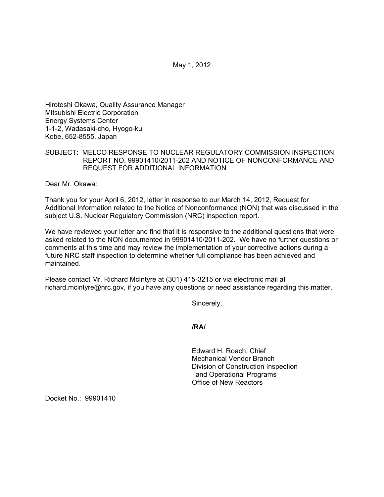May 1, 2012

Hirotoshi Okawa, Quality Assurance Manager Mitsubishi Electric Corporation Energy Systems Center 1-1-2, Wadasaki-cho, Hyogo-ku Kobe, 652-8555, Japan

## SUBJECT: MELCO RESPONSE TO NUCLEAR REGULATORY COMMISSION INSPECTION REPORT NO. 99901410/2011-202 AND NOTICE OF NONCONFORMANCE AND REQUEST FOR ADDITIONAL INFORMATION

Dear Mr. Okawa:

Thank you for your April 6, 2012, letter in response to our March 14, 2012, Request for Additional Information related to the Notice of Nonconformance (NON) that was discussed in the subject U.S. Nuclear Regulatory Commission (NRC) inspection report.

We have reviewed your letter and find that it is responsive to the additional questions that were asked related to the NON documented in 99901410/2011-202. We have no further questions or comments at this time and may review the implementation of your corrective actions during a future NRC staff inspection to determine whether full compliance has been achieved and maintained.

Please contact Mr. Richard McIntyre at (301) 415-3215 or via electronic mail at richard.mcintyre@nrc.gov, if you have any questions or need assistance regarding this matter.

Sincerely,

**/RA/** 

Edward H. Roach, Chief Mechanical Vendor Branch Division of Construction Inspection and Operational Programs Office of New Reactors

Docket No.: 99901410